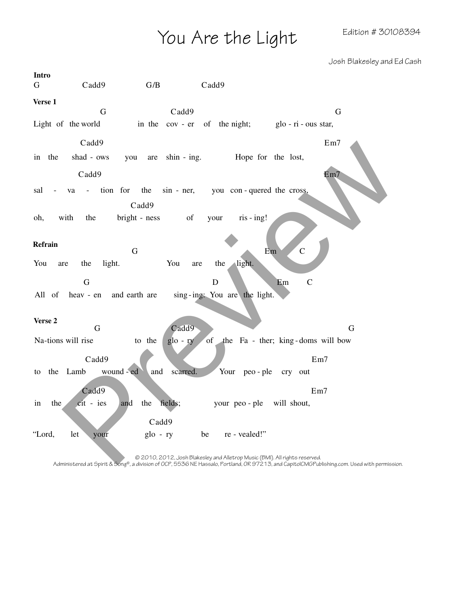You Are the Light Edition # 30108394

Josh Blakesley and Ed Cash

| <b>Intro</b>                                                                                                                                                                                                               |
|----------------------------------------------------------------------------------------------------------------------------------------------------------------------------------------------------------------------------|
| Cadd9<br>G/B<br>Cadd9<br>G                                                                                                                                                                                                 |
| Verse 1                                                                                                                                                                                                                    |
| Cadd9<br>$\mathbf G$<br>G                                                                                                                                                                                                  |
| Light of the world<br>in the cov - er of the night; glo - ri - ous star,                                                                                                                                                   |
| Cadd9<br>Em7                                                                                                                                                                                                               |
| shin - ing. Hope for the lost,<br>in the<br>shad - ows<br>you are                                                                                                                                                          |
| Em7<br>Cadd9                                                                                                                                                                                                               |
| - tion for the<br>sin - ner, you con - quered the cross,<br>sal<br>va<br>Cadd9                                                                                                                                             |
| with<br>bright - ness<br>the<br>of<br>$ris - ing!$<br>oh,<br>your                                                                                                                                                          |
|                                                                                                                                                                                                                            |
| Refrain<br>$\mathsf{C}$<br>$\mathbf G$<br>Em                                                                                                                                                                               |
| light.<br>light.<br>You<br>You<br>the<br>the<br>are<br>are                                                                                                                                                                 |
| $\mathsf{C}$<br>G<br>D<br>Em                                                                                                                                                                                               |
| and earth are<br>sing-ing: You are the light.<br>All of<br>heav - en                                                                                                                                                       |
|                                                                                                                                                                                                                            |
| Verse 2<br>Cadd9<br>$\mathbf G$<br>G                                                                                                                                                                                       |
| Na-tions will rise<br>to the<br>the Fa - ther; king-doms will bow<br>glo - ry<br>of                                                                                                                                        |
| Cadd9<br>Em7                                                                                                                                                                                                               |
| to the Lamb wound-ed<br>and scarred.<br>Your peo-ple<br>cry out                                                                                                                                                            |
| Cadd9<br>Em7                                                                                                                                                                                                               |
| fields;<br>the<br>the<br>cit - ies<br>and<br>your peo-ple will shout,<br>in                                                                                                                                                |
| Cadd9                                                                                                                                                                                                                      |
| $g$ lo - ry<br>"Lord,<br>let<br>be<br>re - vealed!"<br>your                                                                                                                                                                |
|                                                                                                                                                                                                                            |
| © 2010, 2012, Josh Blakesley and Alletrop Music (BMI). All rights reserved.<br>Administered at Spirit & Song®, a division of OCP, 5536 NE Hassalo, Portland, OR 97213, and CapitolCMGPublishing.com. Used with permission. |

© 2010, 2012, Josh Blakesley and Alletrop Music (BMI). All rights reserved.